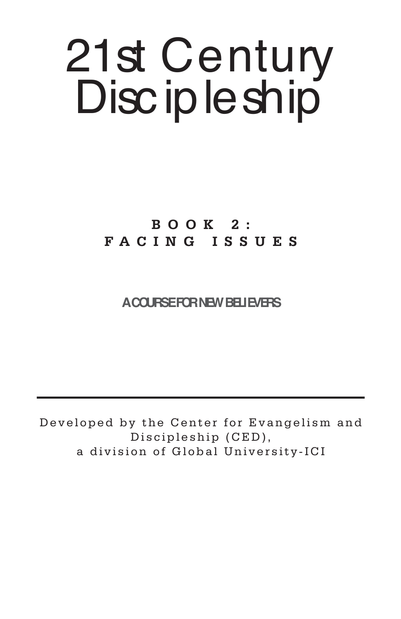# 21st Century Disc ip le ship

**BOOK 2: FACING ISSUES**

**A COURSE FOR NEW BELIEVERS**

Developed by the Center for Evangelism and Discipleship (CED), a division of Global University-ICI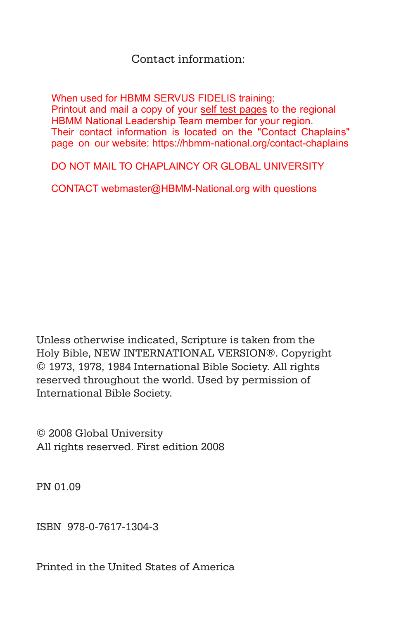## Contact information:

When used for HBMM SERVUS FIDELIS training: Printout and mail a copy of your self test pages to the regional HBMM National Leadership Team member for your region. Their contact information is located on the "Contact Chaplains" page on our website: https://hbmm-national.org/contact-chaplains

DO NOT MAIL TO CHAPLAINCY OR GLOBAL UNIVERSITY

CONTACT webmaster@HBMM-National.org with questions

Unless otherwise indicated, Scripture is taken from the Holy Bible, NEW INTERNATIONAL VERSION®. Copyright © 1973, 1978, 1984 International Bible Society. All rights reserved throughout the world. Used by permission of International Bible Society.

© 2008 Global University All rights reserved. First edition 2008

PN 01.09

ISBN 978-0-7617-1304-3

Printed in the United States of America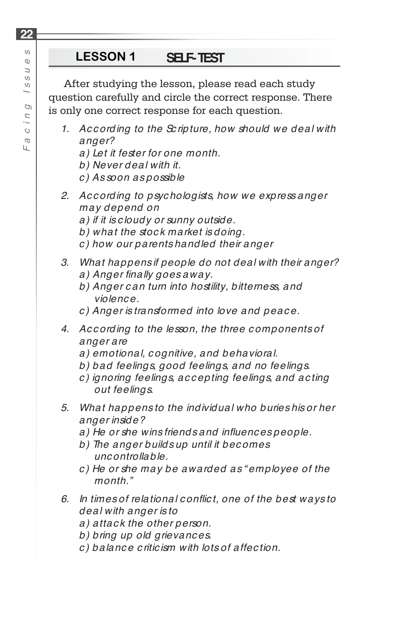After studying the lesson, please read each study question carefully and circle the correct response. There is only one correct response for each question.

- *1. Ac c ording to the Sc ripture, how should we deal with anger?*
	- *a) Let it fester for one month.*
	- *b) Never deal with it.*
	- *c ) As soon as possible*
- *2. Ac c ording to psyc hologists, how we express anger may depend on*
	- *a) if it is c loudy or sunny outside.*
	- *b) what the stoc k market is doing.*
	- *c ) how our parents handled their anger*
- *3. What happens if people do not deal with their anger?* a) Anger finally goes away.
	- *b) Anger c an turn into hostility, bitterness, and violenc e.*
	- *c ) Anger is transformed into love and peac e.*
- *4. Ac c ording to the lesson, the three c omponents of anger are* 
	- *a) emotional, c ognitive, and behavioral.*
	- *b) bad feelings, good feelings, and no feelings.*
	- *c ) ignoring feelings, ac c epting feelings, and ac ting out feelings.*
- *5. What happens to the individual who buries his or her anger inside?*
	- *a) He or she wins friends and infl uenc es people.*
	- *b) The anger builds up until it bec omes unc ontrollable.*
	- *c ) He or she may be awarded as " employee of the month."*
- *6. In times of relational c onfl ic t, one of the best ways to deal with anger is to* 
	- *a) attac k the other person.*
	- *b) bring up old grievanc es.*
	- *c ) balanc e c ritic ism with lots of affec tion.*

**22**

Ш.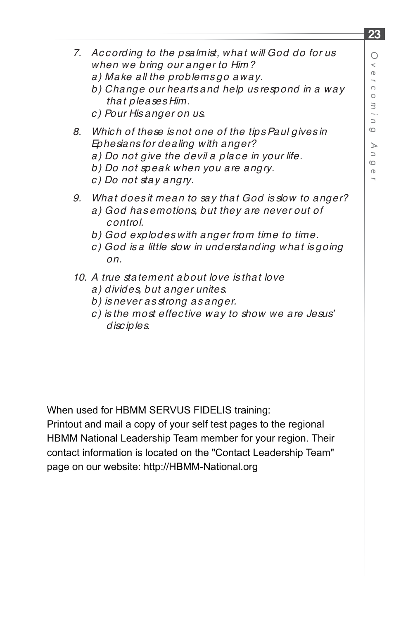$\overline{a}$ 

- *7. Ac c ording to the psalmist, what will God do for us when we bring our anger to Him?*
	- *a) Make all the problems go away.*
	- *b) Change our hearts and help us respond in a way that pleases Him.*
	- *c ) Pour His anger on us.*
- *8. Whic h of these is not one of the tips Paul gives in Ephesians for dealing with anger?*
	- a) Do not give the devil a place in your life.
	- *b) Do not speak when you are angry.*
	- *c ) Do not stay angry.*
- *9. What does it mean to say that God is slow to anger?*
	- *a) God has emotions, but they are never out of c ontrol.*
	- *b) God explodes with anger from time to time.*
	- *c ) God is a little slow in understanding what is going on.*
- *10. A true statement about love is that love*
	- *a) divides, but anger unites.*
	- *b) is never as strong as anger.*
	- *c ) is the most effec tive way to show we are Jesus' disc iples.*

When used for HBMM SERVUS FIDELIS training:

Printout and mail a copy of your self test pages to the regional HBMM National Leadership Team member for your region. Their contact information is located on the "Contact Leadership Team" page on our website: http://HBMM-National.org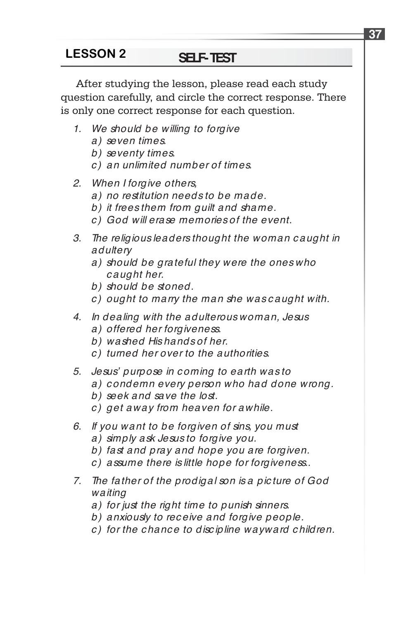After studying the lesson, please read each study question carefully, and circle the correct response. There is only one correct response for each question.

- *1. We should be willing to forgive*
	- *a) seven times.*
	- *b) seventy times.*
	- *c ) an unlimited number of times.*
- *2. When I forgive others,*
	- *a) no restitution needs to be made.*
	- *b) it frees them from guilt and shame.*
	- *c ) God will erase memories of the event.*
- *3. The religious leaders thought the woman c aught in adultery*
	- *a) should be grateful they were the ones who c aught her.*
	- *b) should be stoned.*
	- *c ) ought to marry the man she was c aught with.*
- *4. In dealing with the adulterous woman, Jesus*
	- *a) offered her forgiveness.*
	- *b) washed His hands of her.*
	- *c ) turned her over to the authorities.*
- *5. Jesus' purpose in c oming to earth was to*
	- *a) c ondemn every person who had done wrong.*
	- *b) seek and save the lost.*
	- *c ) get away from heaven for awhile.*
- *6. If you want to be forgiven of sins, you must*
	- *a) simply ask Jesus to forgive you.*
	- *b) fast and pray and hope you are forgiven.*
	- *c ) assume there is little hope for forgiveness..*
- *7. The father of the prodigal son is a pic ture of God waiting*
	- *a) for just the right time to punish sinners.*
	- *b) anxiously to rec eive and forgive people.*
	- *c ) for the c hanc e to disc ipline wayward c hildren.*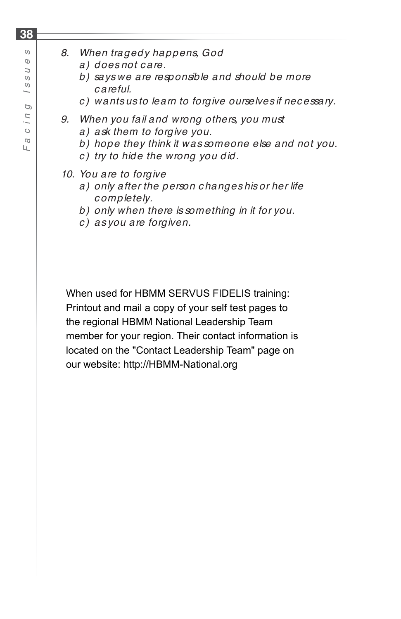$\mathbb O$  $\overline{a}$  $\circ$  $\omega$  $\overline{\phantom{0}}$ D Г I  $\circ$  $\varpi$ Щ

*Fa c in g Issu e s*

## *8. When tragedy happens, God*

- *a) does not c are.*
- *b) says we are responsible and should be more c areful.*
- *c ) wants us to learn to forgive ourselves if nec essary.*
- *9. When you fail and wrong others, you must*
	- *a) ask them to forgive you.*
	- *b) hope they think it was someone else and not you.*
	- *c ) try to hide the wrong you did.*

## *10. You are to forgive*

- *a) only after the person c hanges his or her life c ompletely.*
- *b) only when there is something in it for you.*
- *c ) as you are forgiven.*

When used for HBMM SERVUS FIDELIS training: Printout and mail a copy of your self test pages to the regional HBMM National Leadership Team member for your region. Their contact information is located on the "Contact Leadership Team" page on our website: http://HBMM-National.org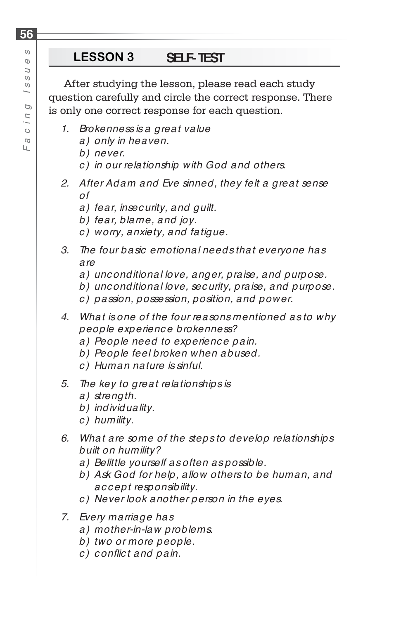After studying the lesson, please read each study question carefully and circle the correct response. There is only one correct response for each question.

- *1. Brokenness is a great value* 
	- *a) only in heaven.*
	- *b) never.*
	- *c ) in our relationship with God and others.*
- *2. After Adam and Eve sinned, they felt a great sense of* 
	- *a) fear, insec urity, and guilt.*
	- *b) fear, blame, and joy.*
	- *c ) worry, anxiety, and fatigue.*
- *3. The four basic emotional needs that everyone has are* 
	- *a) unc onditional love, anger, praise, and purpose.*
	- *b) unc onditional love, sec urity, praise, and purpose.*
	- *c ) passion, possession, position, and power.*
- *4. What is one of the four reasons mentioned as to why people experienc e brokenness?*
	- *a) People need to experienc e pain.*
	- *b) People feel broken when abused.*
	- *c ) Human nature is sinful.*
- *5. The key to great relationships is*
	- *a) strength.*
	- *b) individuality.*
	- *c ) humility.*
- *6. What are some of the steps to develop relationships built on humility?*
	- *a) Belittle yourself as often as possible.*
	- *b) Ask God for help, allow others to be human, and ac c ept responsibility.*
	- *c ) Never look another person in the eyes.*
- *7. Every marriage has* 
	- *a) mother-in-law problems.*
	- *b) two or more people.*
	- *c) confl ic t and pain.*

**56**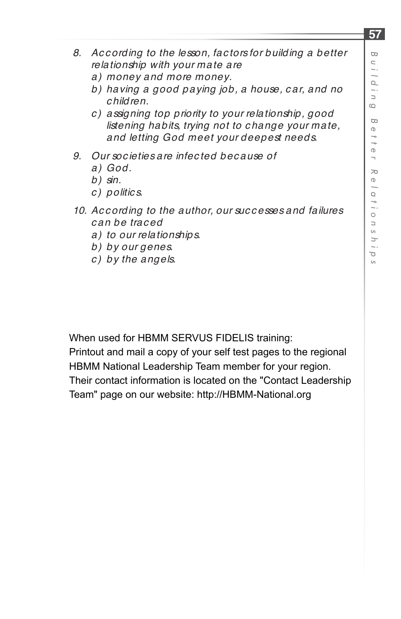- *8. Ac c ording to the lesson, fac tors for building a better relationship with your mate are*
	- *a) money and more money.*
	- *b) having a good paying job, a house, c ar, and no c hildren.*
	- *c ) assigning top priority to your relationship, good listening habits, trying not to c hange your mate, and letting God meet your deepest needs.*
- *9. Our soc ieties are infec ted bec ause of* 
	- *a) God.*
	- *b) sin.*
	- *c ) politic s.*
- *10. Ac c ording to the author, our suc c esses and failures c an be trac ed* 
	- *a) to our relationships.*
	- *b) by our genes.*
	- *c ) by the angels.*

When used for HBMM SERVUS FIDELIS training:

Printout and mail a copy of your self test pages to the regional HBMM National Leadership Team member for your region. Their contact information is located on the "Contact Leadership Team" page on our website: http://HBMM-National.org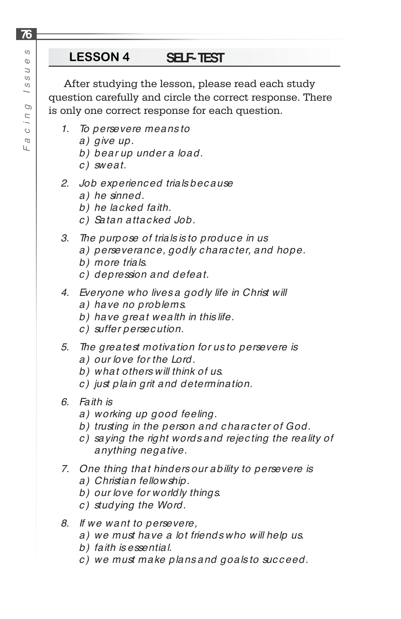After studying the lesson, please read each study question carefully and circle the correct response. There is only one correct response for each question.

- *1. To persevere means to*
	- *a) give up.*
	- *b) bear up under a load.*
	- *c ) sweat.*
- *2. Job experienc ed trials bec ause* 
	- *a) he sinned.*
	- *b) he lac ked faith.*
	- *c ) Satan attac ked Job.*
- *3. The purpose of trials is to produc e in us*
	- *a) perseveranc e, godly c harac ter, and hope.*
	- *b) more trials.*
	- *c ) depression and defeat.*
- *4. Everyone who lives a godly life in Christ will*
	- *a) have no problems.*
	- *b) have great wealth in this life.*
	- *c ) suffer persec ution.*
- *5. The greatest motivation for us to persevere is a) our love for the Lord.*
	- *b) what others will think of us.*
	- *c ) just plain grit and determination.*
- *6. Faith is* 
	- *a) working up good feeling.*
	- *b) trusting in the person and c harac ter of God.*
	- *c ) saying the right words and rejec ting the reality of anything negative.*
- *7. One thing that hinders our ability to persevere is* 
	- *a) Christian fellowship.*
	- *b) our love for worldly things.*
	- *c ) studying the Word.*
- *8. If we want to persevere,*
	- *a) we must have a lot friends who will help us.*
	- *b) faith is essential.*
	- *c ) we must make plans and goals to suc c eed.*

**76**

Ш.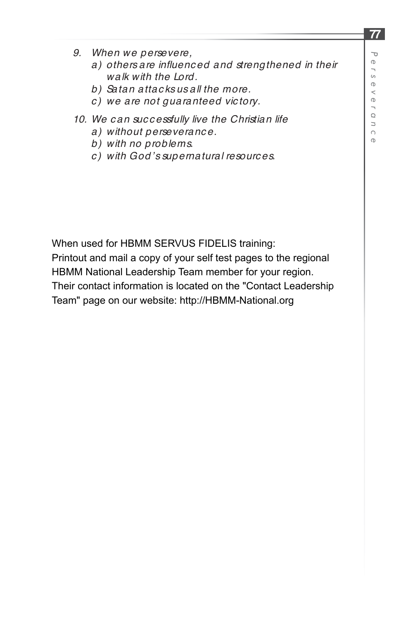$\sigma$ 

- *9. When we persevere,*
	- a) others are influenced and strengthened in their *walk with the Lord.*
	- *b) Satan attac ks us all the more.*
	- *c ) we are not guaranteed vic tory.*
- *10. We c an suc c essfully live the Christian life*
	- *a) without perseveranc e.*
	- *b) with no problems.*
	- *c ) with God's supernatural resourc es.*

When used for HBMM SERVUS FIDELIS training:

Printout and mail a copy of your self test pages to the regional HBMM National Leadership Team member for your region. Their contact information is located on the "Contact Leadership Team" page on our website: http://HBMM-National.org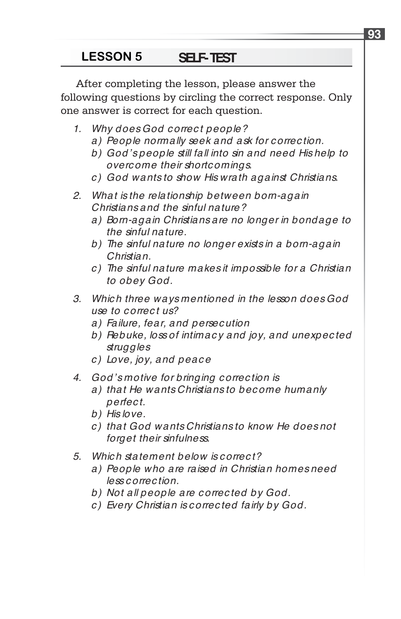# **LESSON 5 SELF-TEST**

After completing the lesson, please answer the following questions by circling the correct response. Only one answer is correct for each question.

- *1. Why does God c orrec t people?*
	- *a) People normally seek and ask for c orrec tion.*
	- *b) God's people still fall into sin and need His help to overc ome their shortc omings.*
	- *c ) God wants to show His wrath against Christians.*
- *2. What is the relationship between born-again Christians and the sinful nature?* 
	- *a) Born-again Christians are no longer in bondage to the sinful nature.*
	- *b) The sinful nature no longer exists in a born-again Christian.*
	- *c ) The sinful nature makes it impossible for a Christian to obey God.*
- *3. Whic h three ways mentioned in the lesson does God use to c orrec t us?*
	- *a) Failure, fear, and persec ution*
	- *b) Rebuke, loss of intimac y and joy, and unexpec ted struggles*
	- *c ) Love, joy, and peac e*
- *4. God's motive for bringing c orrec tion is* 
	- *a) that He wants Christians to bec ome humanly perfec t.*
	- *b) His love.*
	- *c ) that God wants Christians to know He does not forget their sinfulness.*
- *5. Whic h statement below is c orrec t?*
	- *a) People who are raised in Christian homes need less c orrec tion.*
	- *b) Not all people are c orrec ted by God.*
	- *c ) Every Christian is c orrec ted fairly by God.*

**93**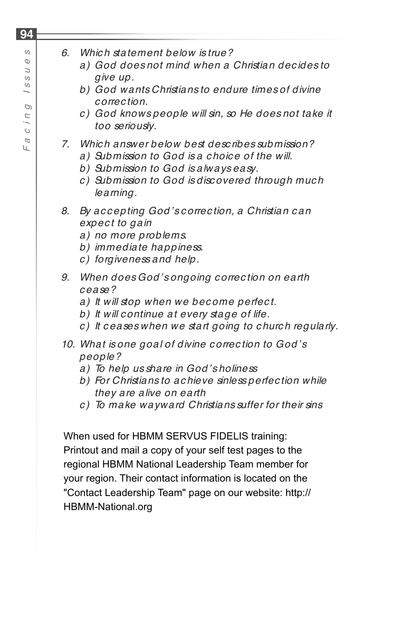- *6. Whic h statement below is true?* 
	- *a) God does not mind when a Christian dec ides to give up.*
	- *b) God wants Christians to endure times of divine c orrec tion.*
	- *c ) God knows people will sin, so He does not take it too seriously.*
- *7. Whic h answer below best desc ribes submission?* 
	- *a) Submission to God is a c hoic e of the will.*
	- *b) Submission to God is always easy.*
	- *c ) Submission to God is disc overed through muc h learning.*
- *8. By ac c epting God's c orrec tion, a Christian c an expec t to gain*
	- *a) no more problems.*
	- *b) immediate happiness.*
	- *c ) forgiveness and help.*
- *9. When does God's ongoing c orrec tion on earth c ease?* 
	- *a) It will stop when we bec ome perfec t.*
	- *b) It will c ontinue at every stage of life.*
	- *c ) It c eases when we start going to c hurc h regularly.*
- *10. What is one goal of divine c orrec tion to God's people?*
	- *a) To help us share in God's holiness*
	- *b) For Christians to ac hieve sinless perfec tion while they are alive on earth*
	- *c ) To make wayward Christians suffer for their sins*

When used for HBMM SERVUS FIDELIS training: Printout and mail a copy of your self test pages to the regional HBMM National Leadership Team member for your region. Their contact information is located on the "Contact Leadership Team" page on our website: http:// HBMM-National.org

## **94**  $\circ$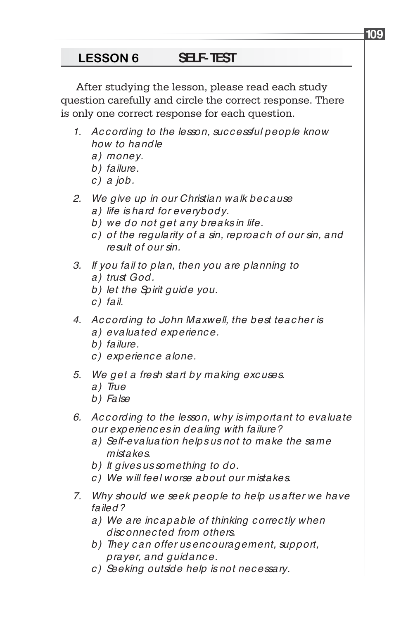After studying the lesson, please read each study question carefully and circle the correct response. There is only one correct response for each question.

- *1. Ac c ording to the lesson, suc c essful people know how to handle* 
	- *a) money.*
	- *b) failure.*
	- *c ) a job.*
- *2. We give up in our Christian walk bec ause*
	- *a) life is hard for everybody.*
	- *b) we do not get any breaks in life.*
	- *c ) of the regularity of a sin, reproac h of our sin, and result of our sin.*
- *3. If you fail to plan, then you are planning to a) trust God.*
	- *b) let the Spirit guide you.*
	- *c ) fail.*
- *4. Ac c ording to John Maxwell, the best teac her is a) evaluated experienc e.*
	- *b) failure.*
	- *c ) experienc e alone.*
- *5. We get a fresh start by making exc uses.*
	- *a) True*
	- *b) False*
- *6. Ac c ording to the lesson, why is important to evaluate our experienc es in dealing with failure?* 
	- *a) Self-evaluation helps us not to make the same mistakes.*
	- *b) It gives us something to do.*
	- *c ) We will feel worse about our mistakes.*
- *7. Why should we seek people to help us after we have failed?*
	- *a) We are inc apable of thinking c orrec tly when disc onnec ted from others.*
	- *b) They c an offer us enc ouragement, support, prayer, and guidanc e.*
	- *c ) Seeking outside help is not nec essary.*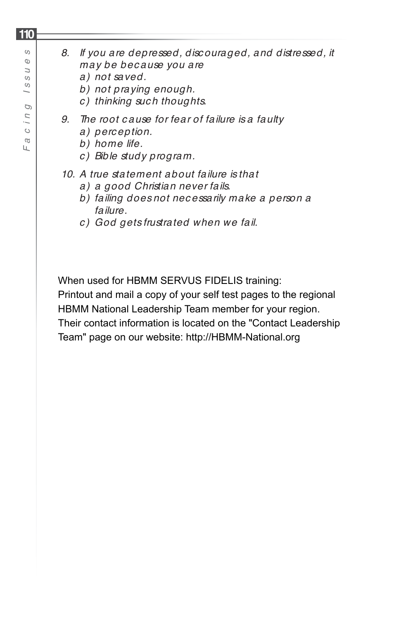$\mathbb O$  $\overline{a}$  $\circ$  $\omega$  $\overline{\phantom{0}}$ G Г I  $\circ$  $\varpi$ Щ

*Fa c in g Issu e s*

## *8. If you are depressed, disc ouraged, and distressed, it may be bec ause you are*

- *a) not saved.*
- *b) not praying enough.*
- *c ) thinking suc h thoughts.*
- *9. The root c ause for fear of failure is a faulty*
	- *a) perc eption.*
	- *b) home life.*
	- *c ) Bible study program.*

## *10. A true statement about failure is that*

- *a) a good Christian never fails.*
- *b) failing does not nec essarily make a person a failure.*
- *c ) God gets frustrated when we fail.*

When used for HBMM SERVUS FIDELIS training:

Printout and mail a copy of your self test pages to the regional HBMM National Leadership Team member for your region. Their contact information is located on the "Contact Leadership Team" page on our website: http://HBMM-National.org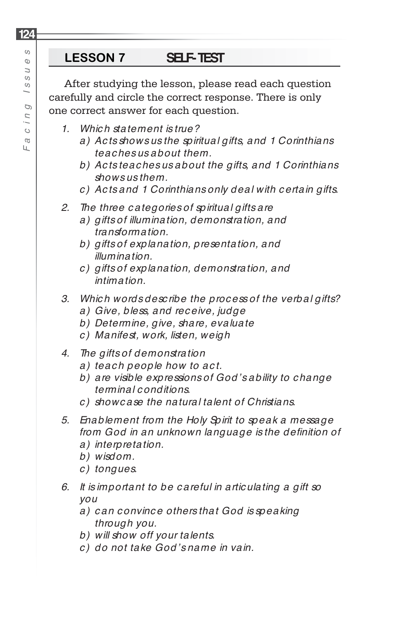After studying the lesson, please read each question carefully and circle the correct response. There is only one correct answer for each question.

- *1. Whic h statement is true?*
	- *a) Ac ts shows us the spiritual gifts, and 1 Corinthians teac hes us about them.*
	- *b) Ac ts teac hes us about the gifts, and 1 Corinthians shows us them.*
	- *c ) Ac ts and 1 Corinthians only deal with c ertain gifts.*
- *2. The three c ategories of spiritual gifts are*
	- *a) gifts of illumination, demonstration, and transformation.*
	- *b) gifts of explanation, presentation, and illumination.*
	- *c ) gifts of explanation, demonstration, and intimation.*
- *3. Whic h words desc ribe the proc ess of the verbal gifts?*
	- *a) Give, bless, and rec eive, judge*
	- *b) Determine, give, share, evaluate*
	- *c ) Manifest, work, listen, weigh*
- *4. The gifts of demonstration* 
	- a) teach people how to act.
	- *b) are visible expressions of God's ability to c hange terminal c onditions.*
	- *c ) showc ase the natural talent of Christians.*
- *5. Enablement from the Holy Spirit to speak a message*  from God in an unknown language is the definition of
	- *a) interpretation.*
	- *b) wisdom.*
	- *c ) tongues.*
- *6. It is important to be c areful in artic ulating a gift so you*
	- *a) c an c onvinc e others that God is speaking through you.*
	- *b) will show off your talents.*
	- *c ) do not take God's name in vain.*

**124**

Ш.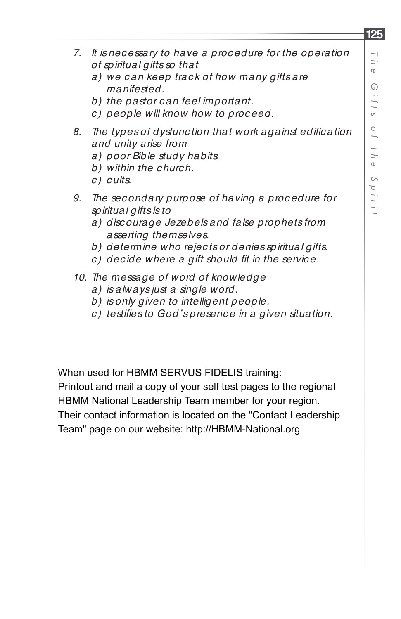- *7. It is nec essary to have a proc edure for the operation of spiritual gifts so that*
	- *a) we c an keep trac k of how many gifts are manifested.*
	- *b) the pastor c an feel important.*
	- *c ) people will know how to proc eed.*
- 8. The types of dysfunction that work against edification *and unity arise from*
	- *a) poor Bible study habits.*
	- *b) within the c hurc h.*
	- *c ) c ults.*
- *9. The sec ondary purpose of having a proc edure for spiritual gifts is to*
	- *a) disc ourage Jezebels and false prophets from asserting themselves.*
	- *b) determine who rejec ts or denies spiritual gifts.*
	- *c*) decide where a gift should fit in the service.
- *10. The message of word of knowledge*
	- *a) is always just a single word.*
	- *b) is only given to intelligent people.*
	- *c ) testifi es to God's presenc e in a given situation.*

When used for HBMM SERVUS FIDELIS training:

Printout and mail a copy of your self test pages to the regional HBMM National Leadership Team member for your region.

Their contact information is located on the "Contact Leadership Team" page on our website: http://HBMM-National.org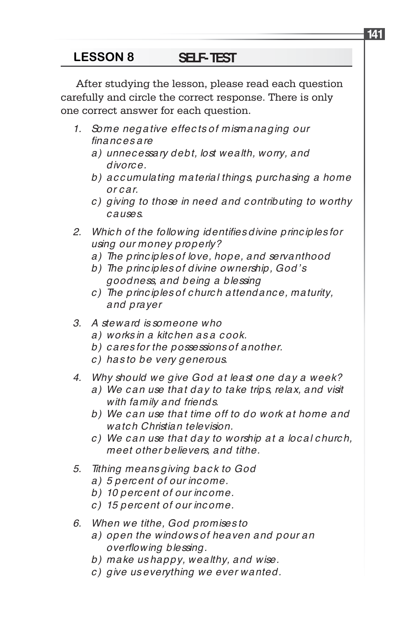After studying the lesson, please read each question carefully and circle the correct response. There is only one correct answer for each question.

- *1. Some negative effec ts of mismanaging our fi nanc es are*
	- *a) unnec essary debt, lost wealth, worry, and divorc e.*
	- *b) ac c umulating material things, purc hasing a home or c ar.*
	- *c ) giving to those in need and c ontributing to worthy c auses.*
- 2. Which of the following identifies divine principles for *using our money properly?*
	- *a) The princ iples of love, hope, and servanthood*
	- *b) The princ iples of divine ownership, God's goodness, and being a blessing*
	- *c ) The princ iples of c hurc h attendanc e, maturity, and prayer*
- *3. A steward is someone who*
	- *a) works in a kitc hen as a c ook.*
	- *b) c ares for the possessions of another.*
	- *c ) has to be very generous.*
- *4. Why should we give God at least one day a week?*
	- *a) We c an use that day to take trips, relax, and visit with family and friends.*
	- *b) We c an use that time off to do work at home and watc h Christian television.*
	- *c ) We c an use that day to worship at a loc al c hurc h, meet other believers, and tithe.*
- *5. Tithing means giving bac k to God*
	- *a) 5 perc ent of our inc ome.*
	- *b) 10 perc ent of our inc ome.*
	- *c ) 15 perc ent of our inc ome.*
- *6. When we tithe, God promises to* 
	- *a) open the windows of heaven and pour an overflowing blessing.*
	- *b) make us happy, wealthy, and wise.*
	- *c ) give us everything we ever wanted.*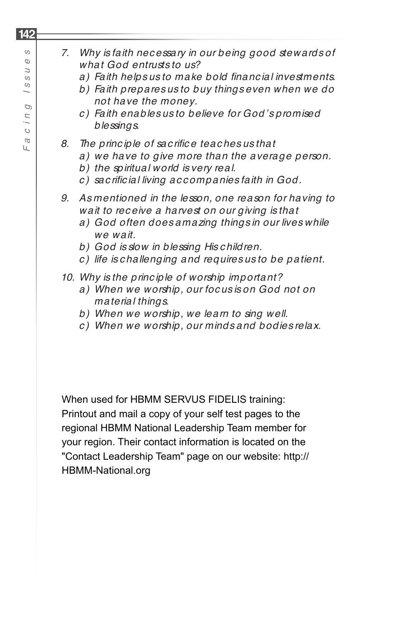## *7. Why is faith nec essary in our being good stewards of what God entrusts to us?*

- a) Faith helps us to make bold financial investments.
- *b) Faith prepares us to buy things even when we do not have the money.*
- *c ) Faith enables us to believe for God's promised blessings.*
- *8. The princ iple of sac rifi c e teac hes us that*
	- *a) we have to give more than the average person.*
	- *b) the spiritual world is very real.*
	- $c)$  sac rificial living accompanies faith in God.
- *9. As mentioned in the lesson, one reason for having to wait to rec eive a harvest on our giving is that*
	- *a) God often does amazing things in our lives while we wait.*
	- *b) God is slow in blessing His c hildren.*
	- *c ) life is c hallenging and requires us to be patient.*

## *10. Why is the princ iple of worship important?*

- *a) When we worship, our foc us is on God not on material things.*
- *b) When we worship, we learn to sing well.*
- *c ) When we worship, our minds and bodies relax.*

When used for HBMM SERVUS FIDELIS training: Printout and mail a copy of your self test pages to the regional HBMM National Leadership Team member for your region. Their contact information is located on the "Contact Leadership Team" page on our website: http:// HBMM-National.org

## **142**  $\circ$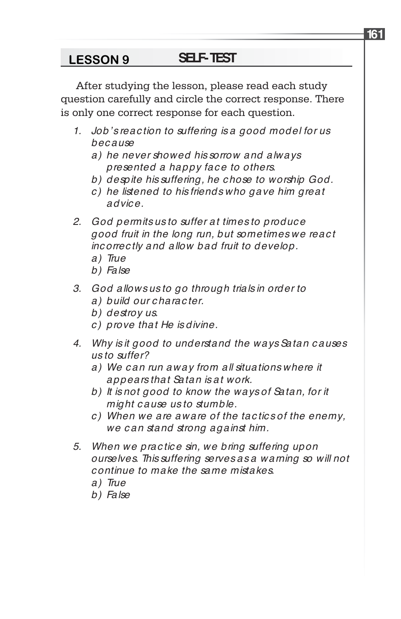After studying the lesson, please read each study question carefully and circle the correct response. There is only one correct response for each question.

- *1. Job's reac tion to suffering is a good model for us bec ause*
	- *a) he never showed his sorrow and always presented a happy fac e to others.*
	- *b) despite his suffering, he c hose to worship God.*
	- *c ) he listened to his friends who gave him great advic e.*
- *2. God permits us to suffer at times to produc e good fruit in the long run, but sometimes we reac t inc orrec tly and allow bad fruit to develop.* 
	- *a) True*
	- *b) False*
- *3. God allows us to go through trials in order to a) build our c harac ter.*
	- *b) destroy us.*
	- *c ) prove that He is divine.*
- *4. Why is it good to understand the ways Satan c auses us to suffer?*
	- *a) We c an run away from all situations where it appears that Satan is at work.*
	- *b) It is not good to know the ways of Satan, for it might c ause us to stumble.*
	- *c ) When we are aware of the tac tic s of the enemy, we c an stand strong against him.*
- *5. When we prac tic e sin, we bring suffering upon ourselves. This suffering serves as a warning so will not c ontinue to make the same mistakes.*
	- *a) True*
	- *b) False*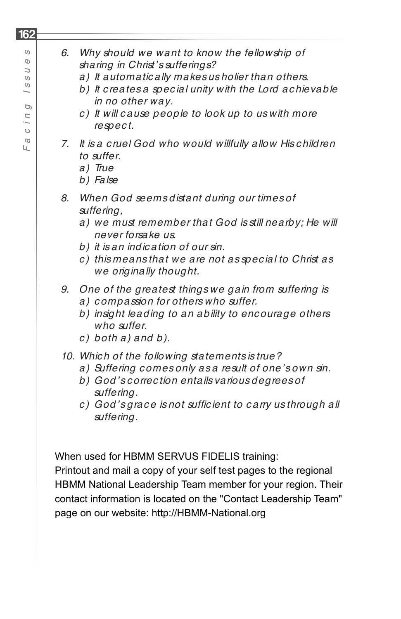## *6. Why should we want to know the fellowship of sharing in Christ's sufferings? a) It automatic ally makes us holier than others. b) It c reates a spec ial unity with the Lord ac hievable in no other way. c ) It will c ause people to look up to us with more respec t. 7. It is a c ruel God who would willfully allow His c hildren to suffer. a) True b) False 8. When God seems distant during our times of suffering, a) we must remember that God is still nearby; He will never forsake us. b) it is an indic ation of our sin.*

- *c ) this means that we are not as spec ial to Christ as we originally thought.*
- *9. One of the greatest things we gain from suffering is a) c ompassion for others who suffer.*
	- *b) insight leading to an ability to enc ourage others who suffer.*
	- *c ) both a) and b).*
- *10. Whic h of the following statements is true?* 
	- *a) Suffering c omes only as a result of one's own sin.*
	- *b) God's c orrec tion entails various degrees of suffering.*
	- *c*) God's grace is not sufficient to carry us through all *suffering.*

When used for HBMM SERVUS FIDELIS training:

Printout and mail a copy of your self test pages to the regional HBMM National Leadership Team member for your region. Their contact information is located on the "Contact Leadership Team" page on our website: http://HBMM-National.org

 $\circ$ *Fa c in g Issu e s*  $\sigma$  $\overline{a}$  $\circ$  $\omega$  $\overline{\phantom{0}}$ 

D Г I  $\circ$  $\varpi$ Ш.

**162**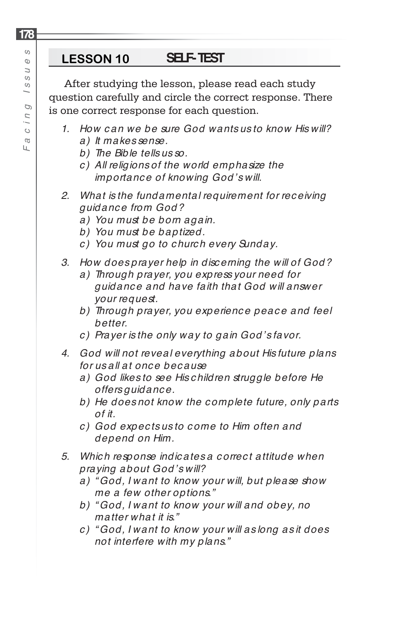After studying the lesson, please read each study question carefully and circle the correct response. There is one correct response for each question.

- *1. How c an we be sure God wants us to know His will? a) It makes sense.*
	- *b) The Bible tells us so.*
	- *c ) All religions of the world emphasize the importanc e of knowing God's will.*
- *2. What is the fundamental requirement for rec eiving guidanc e from God?*
	- *a) You must be born again.*
	- *b) You must be baptized.*
	- *c ) You must go to c hurc h every Sunday.*
- *3. How does prayer help in disc erning the will of God?*
	- *a) Through prayer, you express your need for guidanc e and have faith that God will answer your request.*
	- b) Through prayer, you experience peace and feel *better.*
	- *c ) Prayer is the only way to gain God's favor.*
- *4. God will not reveal everything about His future plans for us all at onc e bec ause*
	- *a) God likes to see His c hildren struggle before He offers guidanc e.*
	- *b) He does not know the c omplete future, only parts of it.*
	- *c ) God expec ts us to c ome to Him often and depend on Him.*
- *5. Whic h response indic ates a c orrec t attitude when praying about God's will?*
	- *a) " God, I want to know your will, but please show me a few other options."*
	- *b) " God, I want to know your will and obey, no matter what it is."*
	- *c ) " God, I want to know your will as long as it does not interfere with my plans."*

**178**

Ш.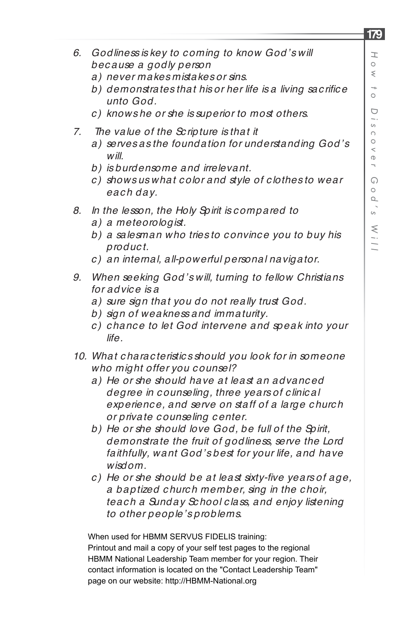- *6. Godliness is key to c oming to know God's will bec ause a godly person*
	- *a) never makes mistakes or sins.*
	- b) demonstrates that his or her life is a living sac rifice *unto God.*
	- *c ) knows he or she is superior to most others.*
- *7. The value of the Sc ripture is that it*
	- *a) serves as the foundation for understanding God's will.*
	- *b) is burdensome and irrelevant.*
	- *c ) shows us what c olor and style of c lothes to wear eac h day.*
- *8. In the lesson, the Holy Spirit is c ompared to*
	- *a) a meteorologist.*
	- *b) a salesman who tries to c onvinc e you to buy his produc t.*
	- *c ) an internal, all-powerful personal navigator.*
- *9. When seeking God's will, turning to fellow Christians for advic e is a*
	- *a) sure sign that you do not really trust God.*
	- *b) sign of weakness and immaturity.*
	- *c ) c hanc e to let God intervene and speak into your life.*
- *10. What c harac teristic s should you look for in someone who might offer you c ounsel?*
	- *a) He or she should have at least an advanc ed degree in c ounseling, three years of c linic al experienc e, and serve on staff of a large c hurc h or private c ounseling c enter.*
	- *b) He or she should love God, be full of the Spirit, demonstrate the fruit of godliness, serve the Lord faithfully, want God's best for your life, and have wisdom.*
	- *c ) He or she should be at least sixty-fi ve years of age, a baptized c hurc h member, sing in the c hoir, teac h a Sunday Sc hool c lass, and enjoy listening to other people's problems.*

When used for HBMM SERVUS FIDELIS training: Printout and mail a copy of your self test pages to the regional HBMM National Leadership Team member for your region. Their contact information is located on the "Contact Leadership Team" page on our website: http://HBMM-National.org

## **179**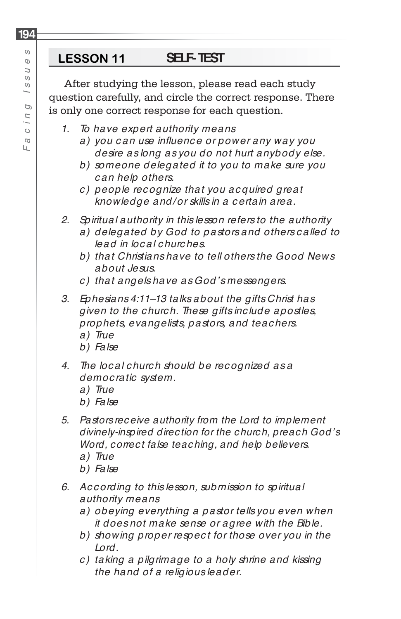After studying the lesson, please read each study question carefully, and circle the correct response. There is only one correct response for each question.

- *1. To have expert authority means*
	- *a) you c an use infl uenc e or power any way you desire as long as you do not hurt anybody else.*
	- *b) someone delegated it to you to make sure you c an help others.*
	- *c ) people rec ognize that you ac quired great knowledge and/ or skills in a c ertain area.*
- *2. Spiritual authority in this lesson refers to the authority*
	- *a) delegated by God to pastors and others c alled to lead in loc al c hurc hes.*
	- *b) that Christians have to tell others the Good News about Jesus.*
	- *c ) that angels have as God's messengers.*
- *3. Ephesians 4:11–13 talks about the gifts Christ has given to the c hurc h. These gifts inc lude apostles, prophets, evangelists, pastors, and teac hers. a) True*
	- *b) False*
- *4. The loc al c hurc h should be rec ognized as a democ ratic system.* 
	- *a) True*
	- *b) False*
- *5. Pastors receive authority from the Lord to implement divinely-inspired direction for the church, preach God's Word, correct false teaching, and help believers.*
	- *a) True*
	- *b) False*
- *6. Ac c ording to this lesson, submission to spiritual authority means*
	- *a) obeying everything a pastor tells you even when it does not make sense or agree with the Bible.*
	- *b) showing proper respec t for those over you in the Lord.*
	- *c ) taking a pilgrimage to a holy shrine and kissing the hand of a religious leader.*

**194**

Ш.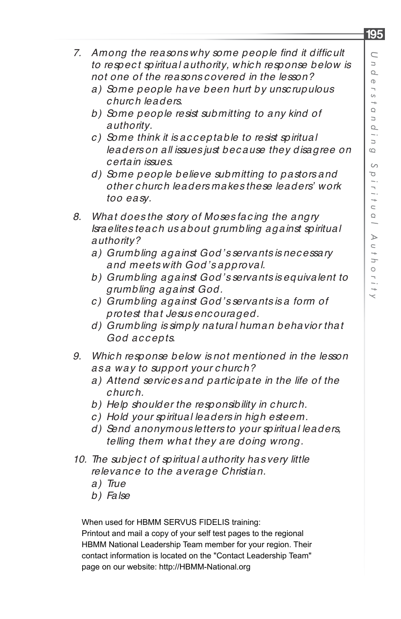- 7. Among the reasons why some people find it difficult *to respec t spiritual authority, whic h response below is not one of the reasons c overed in the lesson?*
	- *a) Some people have been hurt by unsc rupulous c hurc h leaders.*
	- *b) Some people resist submitting to any kind of authority.*
	- *c ) Some think it is ac c eptable to resist spiritual leaders on all issues just bec ause they disagree on c ertain issues.*
	- *d) Some people believe submitting to pastors and other c hurc h leaders makes these leaders' work too easy.*
- *8. What does the story of Moses fac ing the angry Israelites teac h us about grumbling against spiritual authority?*
	- *a) Grumbling against God's servants is nec essary and meets with God's approval.*
	- *b) Grumbling against God's servants is equivalent to grumbling against God.*
	- *c ) Grumbling against God's servants is a form of protest that Jesus enc ouraged.*
	- *d) Grumbling is simply natural human behavior that God ac c epts.*
- *9. Whic h response below is not mentioned in the lesson as a way to support your c hurc h?*
	- *a) Attend servic es and partic ipate in the life of the c hurc h.*
	- *b) Help shoulder the responsibility in c hurc h.*
	- *c ) Hold your spiritual leaders in high esteem.*
	- *d) Send anonymous letters to your spiritual leaders, telling them what they are doing wrong.*
- *10. The subjec t of spiritual authority has very little relevanc e to the average Christian.*
	- *a) True*
	- *b) False*

When used for HBMM SERVUS FIDELIS training:

Printout and mail a copy of your self test pages to the regional HBMM National Leadership Team member for your region. Their contact information is located on the "Contact Leadership Team" page on our website: http://HBMM-National.org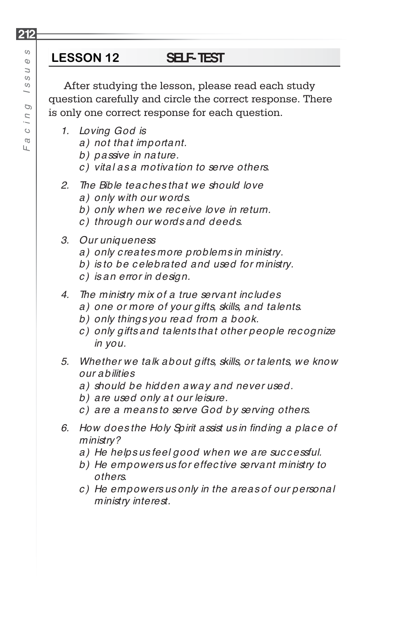After studying the lesson, please read each study question carefully and circle the correct response. There is only one correct response for each question.

- *1. Loving God is*
	- *a) not that important.*
	- *b) passive in nature.*
	- *c ) vital as a motivation to serve others.*
- *2. The Bible teac hes that we should love*
	- *a) only with our words.*
	- *b) only when we rec eive love in return.*
	- *c ) through our words and deeds.*
- *3. Our uniqueness* 
	- *a) only c reates more problems in ministry.*
	- *b) is to be c elebrated and used for ministry.*
	- *c ) is an error in design.*
- *4. The ministry mix of a true servant inc ludes*
	- *a) one or more of your gifts, skills, and talents.*
	- *b) only things you read from a book.*
	- *c ) only gifts and talents that other people rec ognize in you.*
- *5. Whether we talk about gifts, skills, or talents, we know our abilities*
	- *a) should be hidden away and never used.*
	- *b) are used only at our leisure.*
	- *c ) are a means to serve God by serving others.*
- *6. How does the Holy Spirit assist us in fi nding a plac e of ministry?*
	- *a) He helps us feel good when we are suc c essful.*
	- *b) He empowers us for effec tive servant ministry to others.*
	- *c ) He empowers us only in the areas of our personal ministry interest.*

 $\mathbb O$  $\overline{a}$  $\circ$  $\omega$  $\overline{\phantom{0}}$ Ó Г I  $\circ$  $\varpi$ Ш.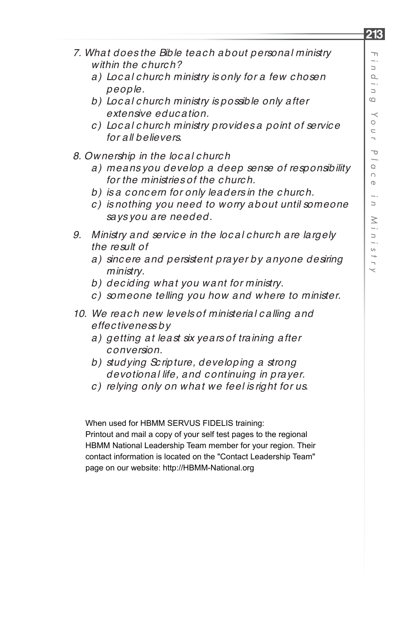- *7. What does the Bible teac h about personal ministry within the c hurc h?*
	- *a) Loc al c hurc h ministry is only for a few c hosen people.*
	- *b) Loc al c hurc h ministry is possible only after extensive educ ation.*
	- *c ) Loc al c hurc h ministry provides a point of servic e for all believers.*
- *8. Ownership in the loc al c hurc h* 
	- *a) means you develop a deep sense of responsibility for the ministries of the c hurc h.*
	- *b) is a c onc ern for only leaders in the c hurc h.*
	- *c ) is nothing you need to worry about until someone says you are needed.*
- *9. Ministry and servic e in the loc al c hurc h are largely the result of*
	- *a) sinc ere and persistent prayer by anyone desiring ministry.*
	- *b) dec iding what you want for ministry.*
	- *c ) someone telling you how and where to minister.*
- *10. We reac h new levels of ministerial c alling and effec tiveness by*
	- *a) getting at least six years of training after c onversion.*
	- *b) studying Sc ripture, developing a strong devotional life, and c ontinuing in prayer.*
	- *c ) relying only on what we feel is right for us.*

When used for HBMM SERVUS FIDELIS training: Printout and mail a copy of your self test pages to the regional HBMM National Leadership Team member for your region. Their contact information is located on the "Contact Leadership Team" page on our website: http://HBMM-National.org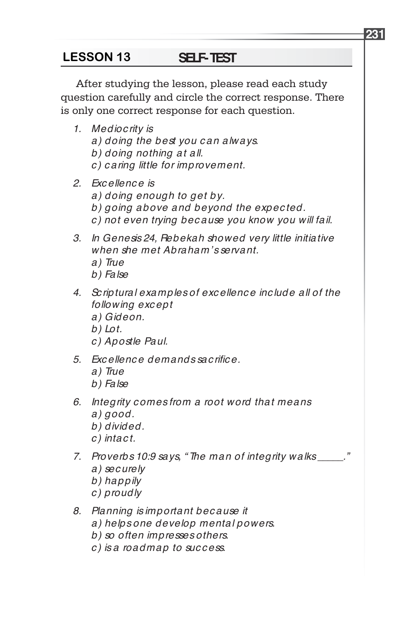# **LESSON 13 SELF-TEST**

After studying the lesson, please read each study question carefully and circle the correct response. There is only one correct response for each question.

- *1. Medioc rity is a) doing the best you c an always. b) doing nothing at all. c ) c aring little for improvement.*
- *2. Exc ellenc e is a) doing enough to get by. b) going above and beyond the expec ted.*
	- *c ) not even trying bec ause you know you will fail.*
- *3. In Genesis 24, Rebekah showed very little initiative when she met Abraham's servant.*
	- *a) True*
	- *b) False*
- *4. Sc riptural examples of exc ellenc e inc lude all of the following exc ept*
	- *a) Gideon.*
	- *b) Lot.*
	- *c ) Apostle Paul.*
- *5. Exc ellenc e demands sac rifi c e.*
	- *a) True*
	- *b) False*
- *6. Integrity c omes from a root word that means a) good.*
	- *b) divided.*
	- *c ) intac t.*
- *7. Proverbs 10:9 says, " The man of integrity walks \_\_\_\_\_." a) sec urely*
	- *b) happily*
	- *c ) proudly*
- *8. Planning is important bec ause it*
	- *a) helps one develop mental powers.*
	- *b) so often impresses others.*
	- *c ) is a roadmap to suc c ess.*